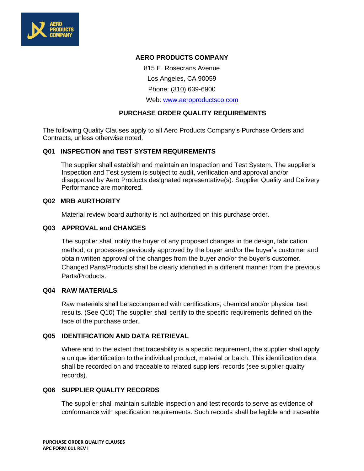

### **AERO PRODUCTS COMPANY**

815 E. Rosecrans Avenue

Los Angeles, CA 90059

Phone: (310) 639-6900

Web: [www.aeroproductsco.com](http://www.aeroproductsco.com/)

## **PURCHASE ORDER QUALITY REQUIREMENTS**

The following Quality Clauses apply to all Aero Products Company's Purchase Orders and Contracts, unless otherwise noted.

### **Q01 INSPECTION and TEST SYSTEM REQUIREMENTS**

The supplier shall establish and maintain an Inspection and Test System. The supplier's Inspection and Test system is subject to audit, verification and approval and/or disapproval by Aero Products designated representative(s). Supplier Quality and Delivery Performance are monitored.

### **Q02 MRB AURTHORITY**

Material review board authority is not authorized on this purchase order.

### **Q03 APPROVAL and CHANGES**

The supplier shall notify the buyer of any proposed changes in the design, fabrication method, or processes previously approved by the buyer and/or the buyer's customer and obtain written approval of the changes from the buyer and/or the buyer's customer. Changed Parts/Products shall be clearly identified in a different manner from the previous Parts/Products.

### **Q04 RAW MATERIALS**

Raw materials shall be accompanied with certifications, chemical and/or physical test results. (See Q10) The supplier shall certify to the specific requirements defined on the face of the purchase order.

### **Q05 IDENTIFICATION AND DATA RETRIEVAL**

Where and to the extent that traceability is a specific requirement, the supplier shall apply a unique identification to the individual product, material or batch. This identification data shall be recorded on and traceable to related suppliers' records (see supplier quality records).

### **Q06 SUPPLIER QUALITY RECORDS**

The supplier shall maintain suitable inspection and test records to serve as evidence of conformance with specification requirements. Such records shall be legible and traceable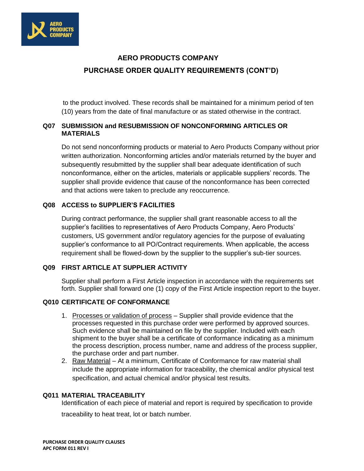

# **AERO PRODUCTS COMPANY PURCHASE ORDER QUALITY REQUIREMENTS (CONT'D)**

 to the product involved. These records shall be maintained for a minimum period of ten (10) years from the date of final manufacture or as stated otherwise in the contract.

# **Q07 SUBMISSION and RESUBMISSION OF NONCONFORMING ARTICLES OR MATERIALS**

Do not send nonconforming products or material to Aero Products Company without prior written authorization. Nonconforming articles and/or materials returned by the buyer and subsequently resubmitted by the supplier shall bear adequate identification of such nonconformance, either on the articles, materials or applicable suppliers' records. The supplier shall provide evidence that cause of the nonconformance has been corrected and that actions were taken to preclude any reoccurrence.

## **Q08 ACCESS to SUPPLIER'S FACILITIES**

During contract performance, the supplier shall grant reasonable access to all the supplier's facilities to representatives of Aero Products Company, Aero Products' customers, US government and/or regulatory agencies for the purpose of evaluating supplier's conformance to all PO/Contract requirements. When applicable, the access requirement shall be flowed-down by the supplier to the supplier's sub-tier sources.

### **Q09 FIRST ARTICLE AT SUPPLIER ACTIVITY**

Supplier shall perform a First Article inspection in accordance with the requirements set forth. Supplier shall forward one (1) copy of the First Article inspection report to the buyer.

# **Q010 CERTIFICATE OF CONFORMANCE**

- 1. Processes or validation of process Supplier shall provide evidence that the processes requested in this purchase order were performed by approved sources. Such evidence shall be maintained on file by the supplier. Included with each shipment to the buyer shall be a certificate of conformance indicating as a minimum the process description, process number, name and address of the process supplier, the purchase order and part number.
- 2. Raw Material At a minimum, Certificate of Conformance for raw material shall include the appropriate information for traceability, the chemical and/or physical test specification, and actual chemical and/or physical test results.

# **Q011 MATERIAL TRACEABILITY**

Identification of each piece of material and report is required by specification to provide traceability to heat treat, lot or batch number.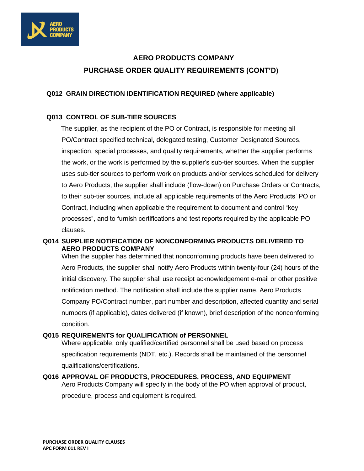

# **AERO PRODUCTS COMPANY PURCHASE ORDER QUALITY REQUIREMENTS (CONT'D)**

## **Q012 GRAIN DIRECTION IDENTIFICATION REQUIRED (where applicable)**

### **Q013 CONTROL OF SUB-TIER SOURCES**

 The supplier, as the recipient of the PO or Contract, is responsible for meeting all PO/Contract specified technical, delegated testing, Customer Designated Sources, inspection, special processes, and quality requirements, whether the supplier performs the work, or the work is performed by the supplier's sub-tier sources. When the supplier uses sub-tier sources to perform work on products and/or services scheduled for delivery to Aero Products, the supplier shall include (flow-down) on Purchase Orders or Contracts, to their sub-tier sources, include all applicable requirements of the Aero Products' PO or Contract, including when applicable the requirement to document and control "key processes", and to furnish certifications and test reports required by the applicable PO clauses.

## **Q014 SUPPLIER NOTIFICATION OF NONCONFORMING PRODUCTS DELIVERED TO AERO PRODUCTS COMPANY**

When the supplier has determined that nonconforming products have been delivered to Aero Products, the supplier shall notify Aero Products within twenty-four (24) hours of the initial discovery. The supplier shall use receipt acknowledgement e-mail or other positive notification method. The notification shall include the supplier name, Aero Products Company PO/Contract number, part number and description, affected quantity and serial numbers (if applicable), dates delivered (if known), brief description of the nonconforming condition.

### **Q015 REQUIREMENTS for QUALIFICATION of PERSONNEL**

Where applicable, only qualified/certified personnel shall be used based on process specification requirements (NDT, etc.). Records shall be maintained of the personnel qualifications/certifications.

# **Q016 APPROVAL OF PRODUCTS, PROCEDURES, PROCESS, AND EQUIPMENT** Aero Products Company will specify in the body of the PO when approval of product, procedure, process and equipment is required.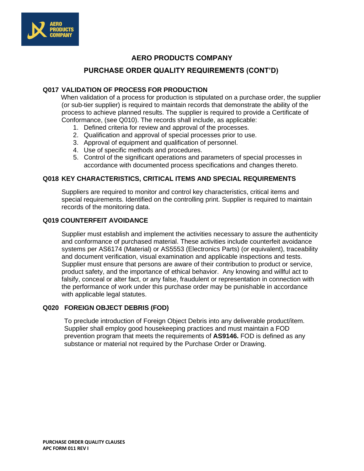

# **AERO PRODUCTS COMPANY**

# **PURCHASE ORDER QUALITY REQUIREMENTS (CONT'D)**

### **Q017 VALIDATION OF PROCESS FOR PRODUCTION**

 When validation of a process for production is stipulated on a purchase order, the supplier (or sub-tier supplier) is required to maintain records that demonstrate the ability of the process to achieve planned results. The supplier is required to provide a Certificate of Conformance, (see Q010). The records shall include, as applicable:

- 1. Defined criteria for review and approval of the processes.
- 2. Qualification and approval of special processes prior to use.
- 3. Approval of equipment and qualification of personnel.
- 4. Use of specific methods and procedures.
- 5. Control of the significant operations and parameters of special processes in accordance with documented process specifications and changes thereto.

### **Q018 KEY CHARACTERISTICS, CRITICAL ITEMS AND SPECIAL REQUIREMENTS**

Suppliers are required to monitor and control key characteristics, critical items and special requirements. Identified on the controlling print. Supplier is required to maintain records of the monitoring data.

### **Q019 COUNTERFEIT AVOIDANCE**

Supplier must establish and implement the activities necessary to assure the authenticity and conformance of purchased material. These activities include counterfeit avoidance systems per AS6174 (Material) or AS5553 (Electronics Parts) (or equivalent), traceability and document verification, visual examination and applicable inspections and tests. Supplier must ensure that persons are aware of their contribution to product or service, product safety, and the importance of ethical behavior. Any knowing and willful act to falsify, conceal or alter fact, or any false, fraudulent or representation in connection with the performance of work under this purchase order may be punishable in accordance with applicable legal statutes.

### **Q020 FOREIGN OBJECT DEBRIS (FOD)**

To preclude introduction of Foreign Object Debris into any deliverable product/item. Supplier shall employ good housekeeping practices and must maintain a FOD prevention program that meets the requirements of **AS9146.** FOD is defined as any substance or material not required by the Purchase Order or Drawing.